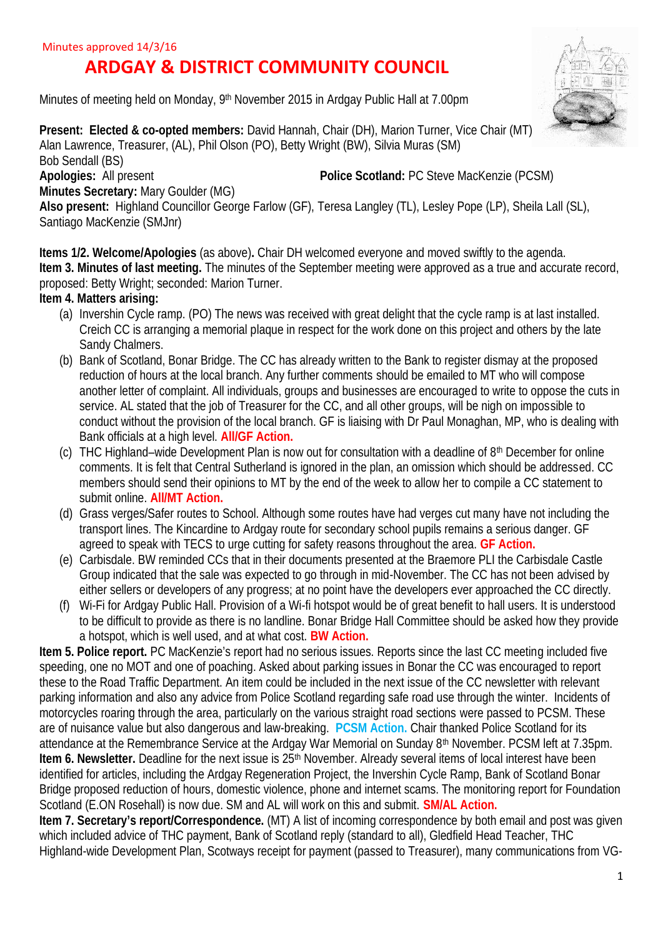# **ARDGAY & DISTRICT COMMUNITY COUNCIL**

Minutes of meeting held on Monday, 9<sup>th</sup> November 2015 in Ardgay Public Hall at 7.00pm

**Present: Elected & co-opted members: David Hannah, Chair (DH), Marion Turner, Vice Chair (MT)** Alan Lawrence, Treasurer, (AL), Phil Olson (PO), Betty Wright (BW), Silvia Muras (SM) Bob Sendall (BS) **Apologies:** All present **Police Scotland:** PC Steve MacKenzie (PCSM) **Minutes Secretary:** Mary Goulder (MG)

**Also present:** Highland Councillor George Farlow (GF), Teresa Langley (TL), Lesley Pope (LP), Sheila Lall (SL), Santiago MacKenzie (SMJnr)

**Items 1/2. Welcome/Apologies** (as above)**.** Chair DH welcomed everyone and moved swiftly to the agenda. **Item 3. Minutes of last meeting.** The minutes of the September meeting were approved as a true and accurate record, proposed: Betty Wright; seconded: Marion Turner.

### **Item 4. Matters arising:**

- (a) Invershin Cycle ramp. (PO) The news was received with great delight that the cycle ramp is at last installed. Creich CC is arranging a memorial plaque in respect for the work done on this project and others by the late Sandy Chalmers.
- (b) Bank of Scotland, Bonar Bridge. The CC has already written to the Bank to register dismay at the proposed reduction of hours at the local branch. Any further comments should be emailed to MT who will compose another letter of complaint. All individuals, groups and businesses are encouraged to write to oppose the cuts in service. AL stated that the job of Treasurer for the CC, and all other groups, will be nigh on impossible to conduct without the provision of the local branch. GF is liaising with Dr Paul Monaghan, MP, who is dealing with Bank officials at a high level. **All/GF Action.**
- (c) THC Highland–wide Development Plan is now out for consultation with a deadline of  $8<sup>th</sup>$  December for online comments. It is felt that Central Sutherland is ignored in the plan, an omission which should be addressed. CC members should send their opinions to MT by the end of the week to allow her to compile a CC statement to submit online. **All/MT Action.**
- (d) Grass verges/Safer routes to School. Although some routes have had verges cut many have not including the transport lines. The Kincardine to Ardgay route for secondary school pupils remains a serious danger. GF agreed to speak with TECS to urge cutting for safety reasons throughout the area. **GF Action.**
- (e) Carbisdale. BW reminded CCs that in their documents presented at the Braemore PLI the Carbisdale Castle Group indicated that the sale was expected to go through in mid-November. The CC has not been advised by either sellers or developers of any progress; at no point have the developers ever approached the CC directly.
- (f) Wi-Fi for Ardgay Public Hall. Provision of a Wi-fi hotspot would be of great benefit to hall users. It is understood to be difficult to provide as there is no landline. Bonar Bridge Hall Committee should be asked how they provide a hotspot, which is well used, and at what cost. **BW Action.**

**Item 5. Police report.** PC MacKenzie's report had no serious issues. Reports since the last CC meeting included five speeding, one no MOT and one of poaching. Asked about parking issues in Bonar the CC was encouraged to report these to the Road Traffic Department. An item could be included in the next issue of the CC newsletter with relevant parking information and also any advice from Police Scotland regarding safe road use through the winter. Incidents of motorcycles roaring through the area, particularly on the various straight road sections were passed to PCSM. These are of nuisance value but also dangerous and law-breaking. **PCSM Action.** Chair thanked Police Scotland for its attendance at the Remembrance Service at the Ardgay War Memorial on Sunday 8th November. PCSM left at 7.35pm. **Item 6. Newsletter.** Deadline for the next issue is 25<sup>th</sup> November. Already several items of local interest have been identified for articles, including the Ardgay Regeneration Project, the Invershin Cycle Ramp, Bank of Scotland Bonar Bridge proposed reduction of hours, domestic violence, phone and internet scams. The monitoring report for Foundation Scotland (E.ON Rosehall) is now due. SM and AL will work on this and submit. **SM/AL Action.**

**Item 7. Secretary's report/Correspondence.** (MT) A list of incoming correspondence by both email and post was given which included advice of THC payment, Bank of Scotland reply (standard to all), Gledfield Head Teacher, THC Highland-wide Development Plan, Scotways receipt for payment (passed to Treasurer), many communications from VG-

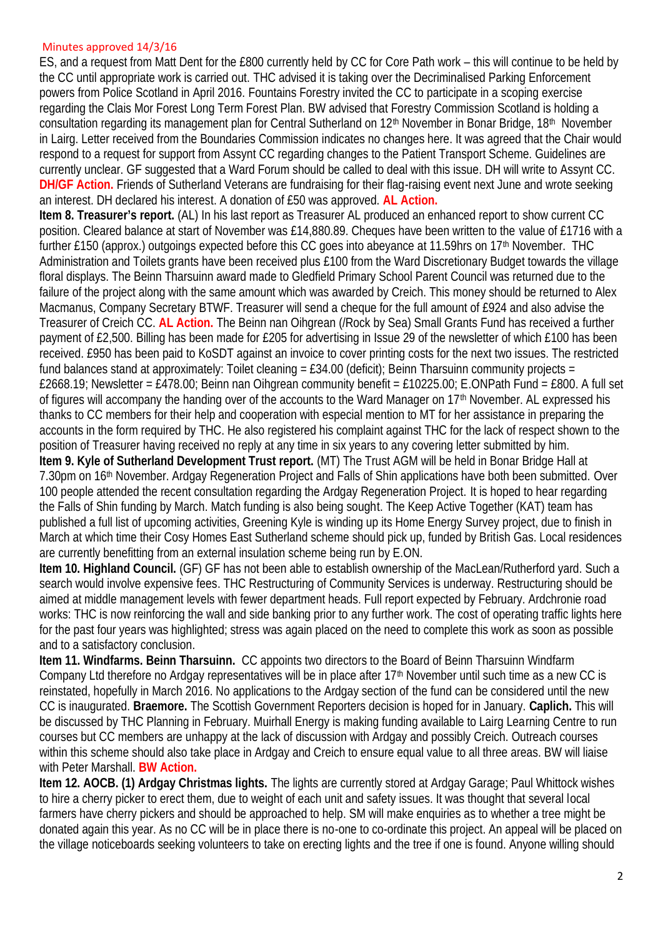#### Minutes approved 14/3/16

ES, and a request from Matt Dent for the £800 currently held by CC for Core Path work – this will continue to be held by the CC until appropriate work is carried out. THC advised it is taking over the Decriminalised Parking Enforcement powers from Police Scotland in April 2016. Fountains Forestry invited the CC to participate in a scoping exercise regarding the Clais Mor Forest Long Term Forest Plan. BW advised that Forestry Commission Scotland is holding a consultation regarding its management plan for Central Sutherland on 12<sup>th</sup> November in Bonar Bridge, 18<sup>th</sup> November in Lairg. Letter received from the Boundaries Commission indicates no changes here. It was agreed that the Chair would respond to a request for support from Assynt CC regarding changes to the Patient Transport Scheme. Guidelines are currently unclear. GF suggested that a Ward Forum should be called to deal with this issue. DH will write to Assynt CC. **DH/GF Action.** Friends of Sutherland Veterans are fundraising for their flag-raising event next June and wrote seeking an interest. DH declared his interest. A donation of £50 was approved. **AL Action.**

**Item 8. Treasurer's report.** (AL) In his last report as Treasurer AL produced an enhanced report to show current CC position. Cleared balance at start of November was £14,880.89. Cheques have been written to the value of £1716 with a further £150 (approx.) outgoings expected before this CC goes into abeyance at 11.59hrs on 17<sup>th</sup> November. THC Administration and Toilets grants have been received plus £100 from the Ward Discretionary Budget towards the village floral displays. The Beinn Tharsuinn award made to Gledfield Primary School Parent Council was returned due to the failure of the project along with the same amount which was awarded by Creich. This money should be returned to Alex Macmanus, Company Secretary BTWF. Treasurer will send a cheque for the full amount of £924 and also advise the Treasurer of Creich CC. **AL Action.** The Beinn nan Oihgrean (/Rock by Sea) Small Grants Fund has received a further payment of £2,500. Billing has been made for £205 for advertising in Issue 29 of the newsletter of which £100 has been received. £950 has been paid to KoSDT against an invoice to cover printing costs for the next two issues. The restricted fund balances stand at approximately: Toilet cleaning =  $£34.00$  (deficit); Beinn Tharsuinn community projects = £2668.19; Newsletter = £478.00; Beinn nan Oihgrean community benefit = £10225.00; E.ONPath Fund = £800. A full set of figures will accompany the handing over of the accounts to the Ward Manager on 17th November. AL expressed his thanks to CC members for their help and cooperation with especial mention to MT for her assistance in preparing the accounts in the form required by THC. He also registered his complaint against THC for the lack of respect shown to the position of Treasurer having received no reply at any time in six years to any covering letter submitted by him. **Item 9. Kyle of Sutherland Development Trust report.** (MT) The Trust AGM will be held in Bonar Bridge Hall at 7.30pm on 16th November. Ardgay Regeneration Project and Falls of Shin applications have both been submitted. Over 100 people attended the recent consultation regarding the Ardgay Regeneration Project. It is hoped to hear regarding the Falls of Shin funding by March. Match funding is also being sought. The Keep Active Together (KAT) team has published a full list of upcoming activities, Greening Kyle is winding up its Home Energy Survey project, due to finish in March at which time their Cosy Homes East Sutherland scheme should pick up, funded by British Gas. Local residences are currently benefitting from an external insulation scheme being run by E.ON.

**Item 10. Highland Council.** (GF) GF has not been able to establish ownership of the MacLean/Rutherford yard. Such a search would involve expensive fees. THC Restructuring of Community Services is underway. Restructuring should be aimed at middle management levels with fewer department heads. Full report expected by February. Ardchronie road works: THC is now reinforcing the wall and side banking prior to any further work. The cost of operating traffic lights here for the past four years was highlighted; stress was again placed on the need to complete this work as soon as possible and to a satisfactory conclusion.

**Item 11. Windfarms. Beinn Tharsuinn.** CC appoints two directors to the Board of Beinn Tharsuinn Windfarm Company Ltd therefore no Ardgay representatives will be in place after 17<sup>th</sup> November until such time as a new CC is reinstated, hopefully in March 2016. No applications to the Ardgay section of the fund can be considered until the new CC is inaugurated. **Braemore.** The Scottish Government Reporters decision is hoped for in January. **Caplich.** This will be discussed by THC Planning in February. Muirhall Energy is making funding available to Lairg Learning Centre to run courses but CC members are unhappy at the lack of discussion with Ardgay and possibly Creich. Outreach courses within this scheme should also take place in Ardgay and Creich to ensure equal value to all three areas. BW will liaise with Peter Marshall. **BW Action.**

**Item 12. AOCB. (1) Ardgay Christmas lights.** The lights are currently stored at Ardgay Garage; Paul Whittock wishes to hire a cherry picker to erect them, due to weight of each unit and safety issues. It was thought that several local farmers have cherry pickers and should be approached to help. SM will make enquiries as to whether a tree might be donated again this year. As no CC will be in place there is no-one to co-ordinate this project. An appeal will be placed on the village noticeboards seeking volunteers to take on erecting lights and the tree if one is found. Anyone willing should